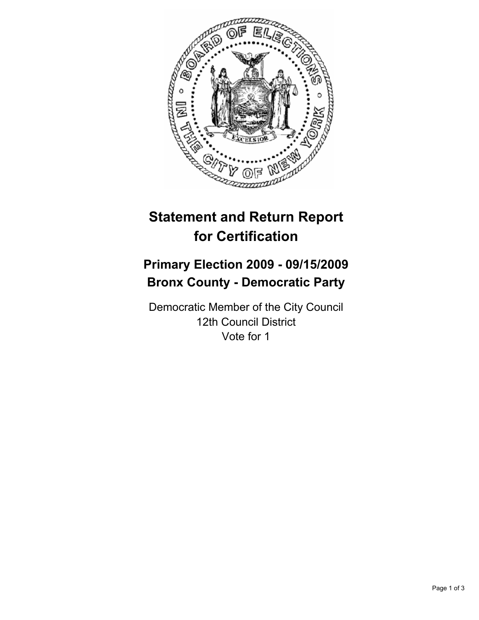

# **Statement and Return Report for Certification**

## **Primary Election 2009 - 09/15/2009 Bronx County - Democratic Party**

Democratic Member of the City Council 12th Council District Vote for 1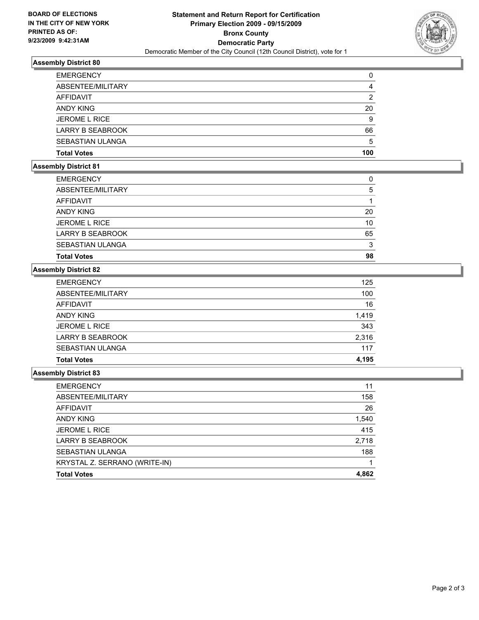

#### **Assembly District 80**

| <b>EMERGENCY</b>        | 0   |
|-------------------------|-----|
| ABSENTEE/MILITARY       | 4   |
| <b>AFFIDAVIT</b>        | 2   |
| ANDY KING               | 20  |
| <b>JEROME L RICE</b>    | 9   |
| <b>LARRY B SEABROOK</b> | 66  |
| SEBASTIAN ULANGA        | 5   |
| <b>Total Votes</b>      | 100 |

### **Assembly District 81**

| <b>EMERGENCY</b>        | 0  |
|-------------------------|----|
| ABSENTEE/MILITARY       | 5  |
| AFFIDAVIT               |    |
| <b>ANDY KING</b>        | 20 |
| <b>JEROME L RICE</b>    | 10 |
| <b>LARRY B SEABROOK</b> | 65 |
| SEBASTIAN ULANGA        | 3  |
| <b>Total Votes</b>      | 98 |

## **Assembly District 82**

| <b>EMERGENCY</b>        | 125   |
|-------------------------|-------|
| ABSENTEE/MILITARY       | 100   |
| <b>AFFIDAVIT</b>        | 16    |
| ANDY KING               | 1,419 |
| <b>JEROME L RICE</b>    | 343   |
| <b>LARRY B SEABROOK</b> | 2,316 |
| SEBASTIAN ULANGA        | 117   |
| <b>Total Votes</b>      | 4.195 |

#### **Assembly District 83**

| <b>EMERGENCY</b>              | 11    |
|-------------------------------|-------|
| ABSENTEE/MILITARY             | 158   |
| AFFIDAVIT                     | 26    |
| ANDY KING                     | 1,540 |
| <b>JEROME L RICE</b>          | 415   |
| LARRY B SEABROOK              | 2,718 |
| SEBASTIAN ULANGA              | 188   |
| KRYSTAL Z. SERRANO (WRITE-IN) |       |
| <b>Total Votes</b>            | 4,862 |